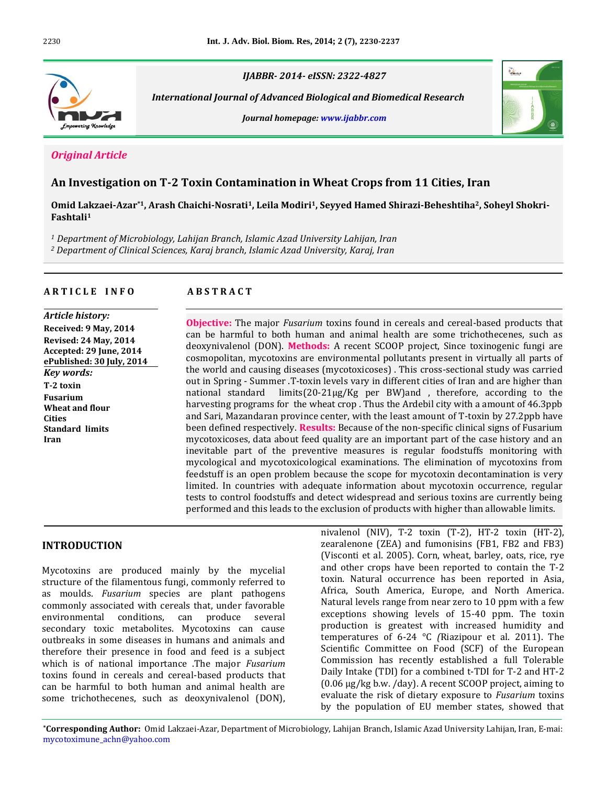

*IJABBR- 2014- eISSN: 2322-4827*

 *International Journal of Advanced Biological and Biomedical Research*

*Journal homepage: www.ijabbr.com*



# *Original Article*

# **An Investigation on T-2 Toxin Contamination in Wheat Crops from 11 Cities, Iran**

**Omid Lakzaei-Azar\*1, Arash Chaichi-Nosrati1, Leila Modiri1, Seyyed Hamed Shirazi-Beheshtiha2, Soheyl Shokri-Fashtali<sup>1</sup>**

*<sup>1</sup> Department of Microbiology, Lahijan Branch, Islamic Azad University Lahijan, Iran*

*<sup>2</sup> Department of Clinical Sciences, Karaj branch, Islamic Azad University, Karaj, Iran*

## **A R T I C L E I N F O A B S T R A C T**

*Article history:* **Received: 9 May, 2014 Revised: 24 May, 2014 Accepted: 29 June, 2014 ePublished: 30 July, 2014** *Key words:* **T-2 toxin Fusarium Wheat and flour Cities Standard limits Iran**

**Objective:** The major *Fusarium* toxins found in cereals and cereal-based products that can be harmful to both human and animal health are some trichothecenes, such as deoxynivalenol (DON). **Methods:** A recent SCOOP project, Since toxinogenic fungi are cosmopolitan, mycotoxins are environmental pollutants present in virtually all parts of the world and causing diseases (mycotoxicoses) . This cross-sectional study was carried out in Spring - Summer .T-toxin levels vary in different cities of Iran and are higher than national standard limits(20-21μg/Kg per BW)and , therefore, according to the harvesting programs for the wheat crop . Thus the Ardebil city with a amount of 46.3ppb and Sari, Mazandaran province center, with the least amount of T-toxin by 27.2ppb have been defined respectively. **Results:** Because of the non-specific clinical signs of Fusarium mycotoxicoses, data about feed quality are an important part of the case history and an inevitable part of the preventive measures is regular foodstuffs monitoring with mycological and mycotoxicological examinations. The elimination of mycotoxins from feedstuff is an open problem because the scope for mycotoxin decontamination is very limited. In countries with adequate information about mycotoxin occurrence, regular tests to control foodstuffs and detect widespread and serious toxins are currently being performed and this leads to the exclusion of products with higher than allowable limits.

## **INTRODUCTION**

Mycotoxins are produced mainly by the mycelial structure of the filamentous fungi, commonly referred to as moulds. *Fusarium* species are plant pathogens commonly associated with cereals that, under favorable environmental conditions, can produce several secondary toxic metabolites. Mycotoxins can cause outbreaks in some diseases in humans and animals and therefore their presence in food and feed is a subject which is of national importance .The major *Fusarium* toxins found in cereals and cereal-based products that can be harmful to both human and animal health are some trichothecenes, such as deoxynivalenol (DON), nivalenol (NIV), T-2 toxin (T-2), HT-2 toxin (HT-2), zearalenone (ZEA) and fumonisins (FB1, FB2 and FB3) (Visconti et al. 2005). Corn, wheat, barley, oats, rice, rye and other crops have been reported to contain the T-2 toxin. Natural occurrence has been reported in Asia, Africa, South America, Europe, and North America. Natural levels range from near zero to 10 ppm with a few exceptions showing levels of 15-40 ppm. The toxin production is greatest with increased humidity and temperatures of 6-24 °C *(*Riazipour et al. 2011). The Scientific Committee on Food (SCF) of the European Commission has recently established a full Tolerable Daily Intake (TDI) for a combined t-TDI for T-2 and HT-2 (0.06 μg/kg b.w. /day). A recent SCOOP project, aiming to evaluate the risk of dietary exposure to *Fusarium* toxins by the population of EU member states, showed that

**\*Corresponding Author:** Omid Lakzaei-Azar, Department of Microbiology, Lahijan Branch, Islamic Azad University Lahijan, Iran, E-mai: mycotoximune\_achn@yahoo.com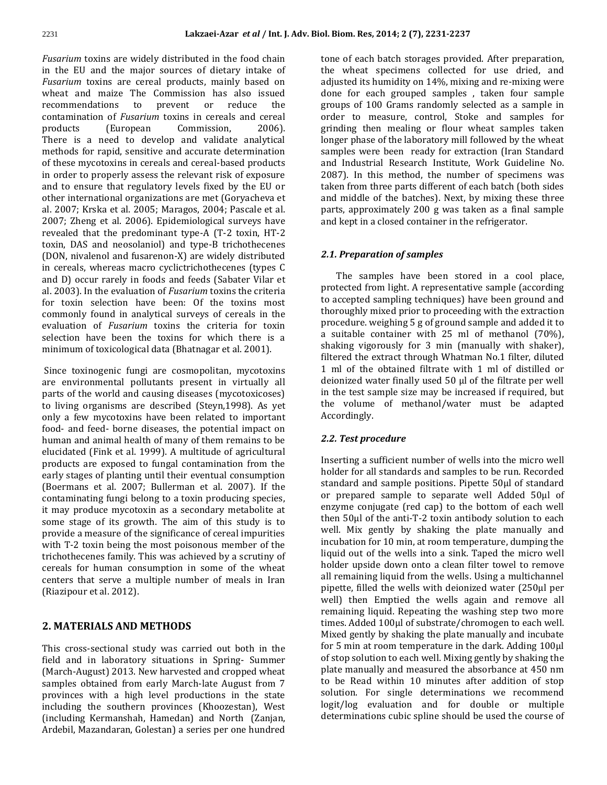*Fusarium* toxins are widely distributed in the food chain in the EU and the major sources of dietary intake of *Fusarium* toxins are cereal products, mainly based on wheat and maize The Commission has also issued recommendations to prevent or reduce the contamination of *Fusarium* toxins in cereals and cereal products (European Commission, 2006). There is a need to develop and validate analytical methods for rapid, sensitive and accurate determination of these mycotoxins in cereals and cereal-based products in order to properly assess the relevant risk of exposure and to ensure that regulatory levels fixed by the EU or other international organizations are met (Goryacheva et al. 2007; Krska et al. 2005; Maragos, 2004; Pascale et al. 2007; Zheng et al. 2006). Epidemiological surveys have revealed that the predominant type-A (T-2 toxin, HT-2 toxin, DAS and neosolaniol) and type-B trichothecenes (DON, nivalenol and fusarenon-X) are widely distributed in cereals, whereas macro cyclictrichothecenes (types C and D) occur rarely in foods and feeds (Sabater Vilar et al. 2003). In the evaluation of *Fusarium* toxins the criteria for toxin selection have been: Of the toxins most commonly found in analytical surveys of cereals in the evaluation of *Fusarium* toxins the criteria for toxin selection have been the toxins for which there is a minimum of toxicological data (Bhatnagar et al. 2001).

Since toxinogenic fungi are cosmopolitan, mycotoxins are environmental pollutants present in virtually all parts of the world and causing diseases (mycotoxicoses) to living organisms are described (Steyn,1998). As yet only a few mycotoxins have been related to important food- and feed- borne diseases, the potential impact on human and animal health of many of them remains to be elucidated (Fink et al. 1999). A multitude of agricultural products are exposed to fungal contamination from the early stages of planting until their eventual consumption (Boermans et al. 2007; Bullerman et al. 2007). If the contaminating fungi belong to a toxin producing species, it may produce mycotoxin as a secondary metabolite at some stage of its growth. The aim of this study is to provide a measure of the significance of cereal impurities with T-2 toxin being the most poisonous member of the trichothecenes family. This was achieved by a scrutiny of cereals for human consumption in some of the wheat centers that serve a multiple number of meals in Iran (Riazipour et al. 2012).

## **2. MATERIALS AND METHODS**

This cross-sectional study was carried out both in the field and in laboratory situations in Spring- Summer (March-August) 2013. New harvested and cropped wheat samples obtained from early March-late August from 7 provinces with a high level productions in the state including the southern provinces (Khoozestan), West (including Kermanshah, Hamedan) and North (Zanjan, Ardebil, Mazandaran, Golestan) a series per one hundred tone of each batch storages provided. After preparation, the wheat specimens collected for use dried, and adjusted its humidity on 14%, mixing and re-mixing were done for each grouped samples , taken four sample groups of 100 Grams randomly selected as a sample in order to measure, control, Stoke and samples for grinding then mealing or flour wheat samples taken longer phase of the laboratory mill followed by the wheat samples were been ready for extraction (Iran Standard and Industrial Research Institute, Work Guideline No. 2087). In this method, the number of specimens was taken from three parts different of each batch (both sides and middle of the batches). Next, by mixing these three parts, approximately 200 g was taken as a final sample and kept in a closed container in the refrigerator.

## *2.1. Preparation of samples*

 The samples have been stored in a cool place, protected from light. A representative sample (according to accepted sampling techniques) have been ground and thoroughly mixed prior to proceeding with the extraction procedure. weighing 5 g of ground sample and added it to a suitable container with 25 ml of methanol (70%), shaking vigorously for 3 min (manually with shaker), filtered the extract through Whatman No.1 filter, diluted 1 ml of the obtained filtrate with 1 ml of distilled or deionized water finally used 50 µl of the filtrate per well in the test sample size may be increased if required, but the volume of methanol/water must be adapted Accordingly.

## *2.2. Test procedure*

Inserting a sufficient number of wells into the micro well holder for all standards and samples to be run. Recorded standard and sample positions. Pipette 50µl of standard or prepared sample to separate well Added 50µl of enzyme conjugate (red cap) to the bottom of each well then 50µl of the anti-T-2 toxin antibody solution to each well. Mix gently by shaking the plate manually and incubation for 10 min, at room temperature, dumping the liquid out of the wells into a sink. Taped the micro well holder upside down onto a clean filter towel to remove all remaining liquid from the wells. Using a multichannel pipette, filled the wells with deionized water (250µl per well) then Emptied the wells again and remove all remaining liquid. Repeating the washing step two more times. Added 100µl of substrate/chromogen to each well. Mixed gently by shaking the plate manually and incubate for 5 min at room temperature in the dark. Adding 100µl of stop solution to each well. Mixing gently by shaking the plate manually and measured the absorbance at 450 nm to be Read within 10 minutes after addition of stop solution. For single determinations we recommend logit/log evaluation and for double or multiple determinations cubic spline should be used the course of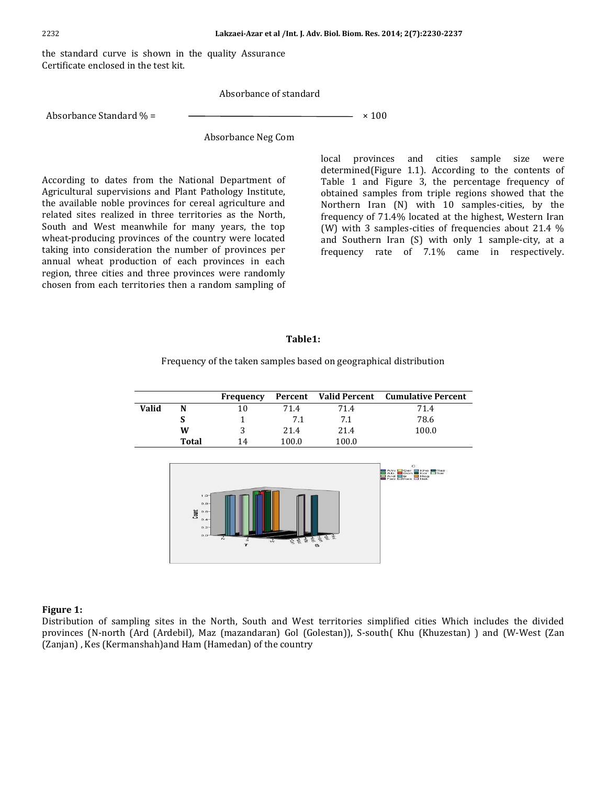the standard curve is shown in the quality Assurance Certificate enclosed in the test kit.

Absorbance of standard

Absorbance Standard  $\% =$   $\qquad \qquad \longrightarrow$   $\qquad \qquad \times$  100

Absorbance Neg Com

According to dates from the National Department of Agricultural supervisions and Plant Pathology Institute, the available noble provinces for cereal agriculture and related sites realized in three territories as the North, South and West meanwhile for many years, the top wheat-producing provinces of the country were located taking into consideration the number of provinces per annual wheat production of each provinces in each region, three cities and three provinces were randomly chosen from each territories then a random sampling of

local provinces and cities sample size were determined(Figure 1.1). According to the contents of Table 1 and Figure 3, the percentage frequency of obtained samples from triple regions showed that the Northern Iran (N) with 10 samples-cities, by the frequency of 71.4% located at the highest, Western Iran (W) with 3 samples-cities of frequencies about 21.4 % and Southern Iran (S) with only 1 sample-city, at a frequency rate of 7.1% came in respectively.

#### **Table1:**

#### Frequency of the taken samples based on geographical distribution

|       |              | Frequency |       |       | Percent Valid Percent Cumulative Percent |
|-------|--------------|-----------|-------|-------|------------------------------------------|
| Valid |              | 10        | 71.4  | 71.4  | 71.4                                     |
|       |              |           | 7.1   | 7.1   | 78.6                                     |
|       | W            |           | 21.4  | 21.4  | 100.0                                    |
|       | <b>Total</b> | 14        | 100.0 | 100.0 |                                          |



#### **Figure 1:**

Distribution of sampling sites in the North, South and West territories simplified cities Which includes the divided provinces (N-north (Ard (Ardebil), Maz (mazandaran) Gol (Golestan)), S-south( Khu (Khuzestan) ) and (W-West (Zan (Zanjan) , Kes (Kermanshah)and Ham (Hamedan) of the country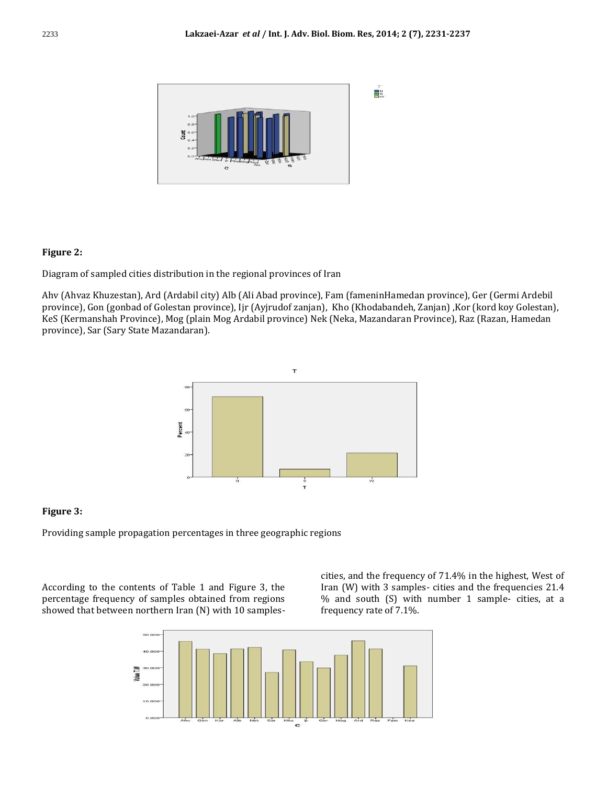

## **Figure 2:**

Diagram of sampled cities distribution in the regional provinces of Iran

Ahv (Ahvaz Khuzestan), Ard (Ardabil city) Alb (Ali Abad province), Fam (fameninHamedan province), Ger (Germi Ardebil province), Gon (gonbad of Golestan province), Ijr (Ayjrudof zanjan), Kho (Khodabandeh, Zanjan) ,Kor (kord koy Golestan), KeS (Kermanshah Province), Mog (plain Mog Ardabil province) Nek (Neka, Mazandaran Province), Raz (Razan, Hamedan province), Sar (Sary State Mazandaran).



## **Figure 3:**

Providing sample propagation percentages in three geographic regions

According to the contents of Table 1 and Figure 3, the percentage frequency of samples obtained from regions showed that between northern Iran (N) with 10 samplescities, and the frequency of 71.4% in the highest, West of Iran (W) with 3 samples- cities and the frequencies 21.4 % and south (S) with number 1 sample- cities, at a frequency rate of 7.1%.

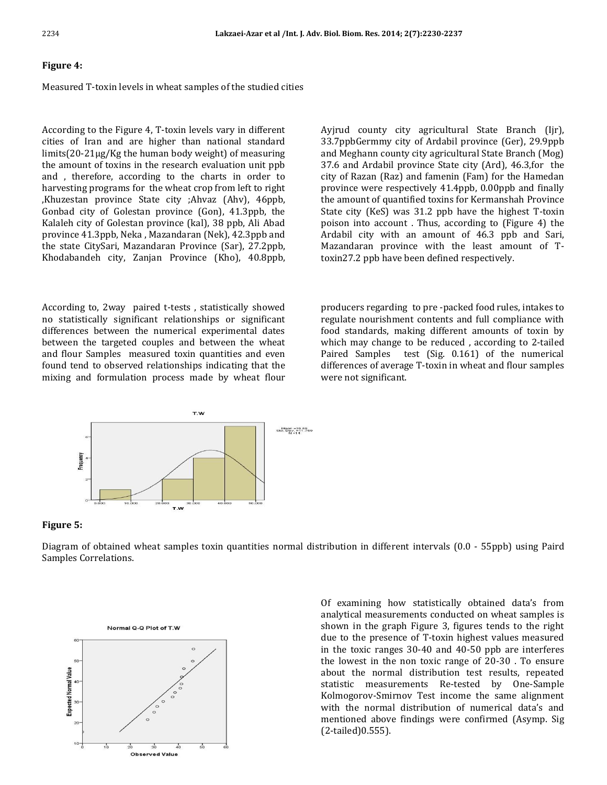#### **Figure 4:**

#### Measured T-toxin levels in wheat samples of the studied cities

According to the Figure 4, T-toxin levels vary in different cities of Iran and are higher than national standard limits(20-21μg/Kg the human body weight) of measuring the amount of toxins in the research evaluation unit ppb and , therefore, according to the charts in order to harvesting programs for the wheat crop from left to right ,Khuzestan province State city ;Ahvaz (Ahv), 46ppb, Gonbad city of Golestan province (Gon), 41.3ppb, the Kalaleh city of Golestan province (kal), 38 ppb, Ali Abad province 41.3ppb, Neka , Mazandaran (Nek), 42.3ppb and the state CitySari, Mazandaran Province (Sar), 27.2ppb, Khodabandeh city, Zanjan Province (Kho), 40.8ppb,

According to, 2way paired t-tests , statistically showed no statistically significant relationships or significant differences between the numerical experimental dates between the targeted couples and between the wheat and flour Samples measured toxin quantities and even found tend to observed relationships indicating that the mixing and formulation process made by wheat flour

Ayjrud county city agricultural State Branch (Ijr), 33.7ppbGermmy city of Ardabil province (Ger), 29.9ppb and Meghann county city agricultural State Branch (Mog) 37.6 and Ardabil province State city (Ard), 46.3,for the city of Razan (Raz) and famenin (Fam) for the Hamedan province were respectively 41.4ppb, 0.00ppb and finally the amount of quantified toxins for Kermanshah Province State city (KeS) was 31.2 ppb have the highest T-toxin poison into account . Thus, according to (Figure 4) the Ardabil city with an amount of 46.3 ppb and Sari, Mazandaran province with the least amount of Ttoxin27.2 ppb have been defined respectively.

producers regarding to pre -packed food rules, intakes to regulate nourishment contents and full compliance with food standards, making different amounts of toxin by which may change to be reduced , according to 2-tailed Paired Samples test (Sig. 0.161) of the numerical differences of average T-toxin in wheat and flour samples were not significant.



#### **Figure 5:**

Diagram of obtained wheat samples toxin quantities normal distribution in different intervals (0.0 - 55ppb) using Paird Samples Correlations.



 Of examining how statistically obtained data's from analytical measurements conducted on wheat samples is shown in the graph Figure 3, figures tends to the right due to the presence of T-toxin highest values measured in the toxic ranges 30-40 and 40-50 ppb are interferes the lowest in the non toxic range of 20-30 . To ensure about the normal distribution test results, repeated statistic measurements Re-tested by One-Sample Kolmogorov-Smirnov Test income the same alignment with the normal distribution of numerical data's and mentioned above findings were confirmed (Asymp. Sig (2-tailed)0.555).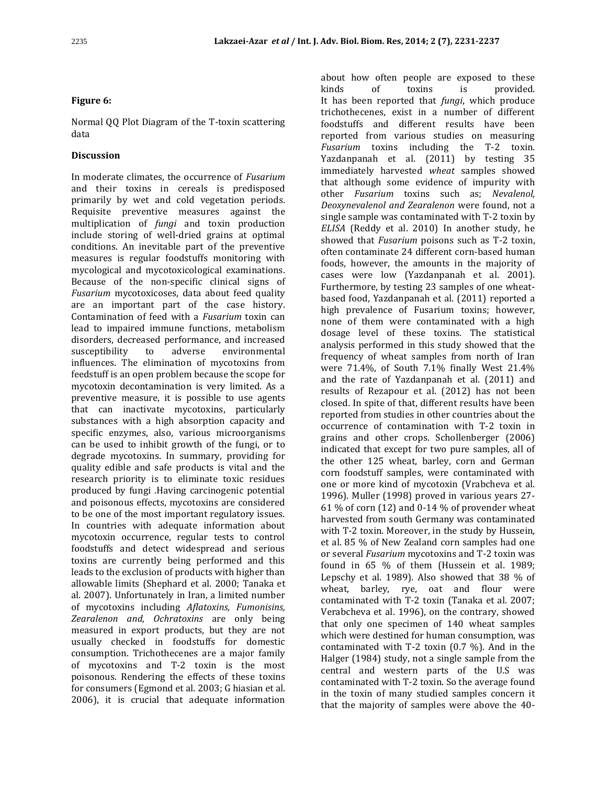#### **Figure 6:**

Normal QQ Plot Diagram of the T-toxin scattering data

#### **Discussion**

In moderate climates, the occurrence of *Fusarium* and their toxins in cereals is predisposed primarily by wet and cold vegetation periods. Requisite preventive measures against the multiplication of *fungi* and toxin production include storing of well-dried grains at optimal conditions. An inevitable part of the preventive measures is regular foodstuffs monitoring with mycological and mycotoxicological examinations. Because of the non-specific clinical signs of *Fusarium* mycotoxicoses, data about feed quality are an important part of the case history. Contamination of feed with a *Fusarium* toxin can lead to impaired immune functions, metabolism disorders, decreased performance, and increased susceptibility to adverse environmental influences. The elimination of mycotoxins from feedstuff is an open problem because the scope for mycotoxin decontamination is very limited. As a preventive measure, it is possible to use agents that can inactivate mycotoxins, particularly substances with a high absorption capacity and specific enzymes, also, various microorganisms can be used to inhibit growth of the fungi, or to degrade mycotoxins. In summary, providing for quality edible and safe products is vital and the research priority is to eliminate toxic residues produced by fungi .Having carcinogenic potential and poisonous effects, mycotoxins are considered to be one of the most important regulatory issues. In countries with adequate information about mycotoxin occurrence, regular tests to control foodstuffs and detect widespread and serious toxins are currently being performed and this leads to the exclusion of products with higher than allowable limits (Shephard et al. 2000; Tanaka et al. 2007). Unfortunately in Iran, a limited number of mycotoxins including *Aflatoxins, Fumonisins, Zearalenon and, Ochratoxins* are only being measured in export products, but they are not usually checked in foodstuffs for domestic consumption. Trichothecenes are a major family of mycotoxins and T-2 toxin is the most poisonous. Rendering the effects of these toxins for consumers (Egmond et al. 2003; G hiasian et al. 2006), it is crucial that adequate information about how often people are exposed to these kinds of toxins is provided. It has been reported that *fungi*, which produce trichothecenes, exist in a number of different foodstuffs and different results have been reported from various studies on measuring *Fusarium* toxins including the T-2 toxin. Yazdanpanah et al. (2011) by testing 35 immediately harvested *wheat* samples showed that although some evidence of impurity with other *Fusarium* toxins such as; *Nevalenol, Deoxynevalenol and Zearalenon* were found, not a single sample was contaminated with T-2 toxin by *ELISA* (Reddy et al. 2010) In another study, he showed that *Fusarium* poisons such as T-2 toxin, often contaminate 24 different corn-based human foods, however, the amounts in the majority of cases were low (Yazdanpanah et al. 2001). Furthermore, by testing 23 samples of one wheatbased food, Yazdanpanah et al. (2011) reported a high prevalence of Fusarium toxins; however, none of them were contaminated with a high dosage level of these toxins. The statistical analysis performed in this study showed that the frequency of wheat samples from north of Iran were 71.4%, of South 7.1% finally West 21.4% and the rate of Yazdanpanah et al. (2011) and results of Rezapour et al. (2012) has not been closed. In spite of that, different results have been reported from studies in other countries about the occurrence of contamination with T-2 toxin in grains and other crops. Schollenberger (2006) indicated that except for two pure samples, all of the other 125 wheat, barley, corn and German corn foodstuff samples, were contaminated with one or more kind of mycotoxin (Vrabcheva et al. 1996). Muller (1998) proved in various years 27- 61 % of corn  $(12)$  and 0-14 % of provender wheat harvested from south Germany was contaminated with T-2 toxin. Moreover, in the study by Hussein, et al. 85 % of New Zealand corn samples had one or several *Fusarium* mycotoxins and T-2 toxin was found in 65 % of them (Hussein et al. 1989; Lepschy et al. 1989). Also showed that 38 % of wheat, barley, rye, oat and flour were contaminated with T-2 toxin (Tanaka et al. 2007; Verabcheva et al. 1996), on the contrary, showed that only one specimen of 140 wheat samples which were destined for human consumption, was contaminated with T-2 toxin (0.7 %). And in the Halger (1984) study, not a single sample from the central and western parts of the U.S was contaminated with T-2 toxin. So the average found in the toxin of many studied samples concern it that the majority of samples were above the 40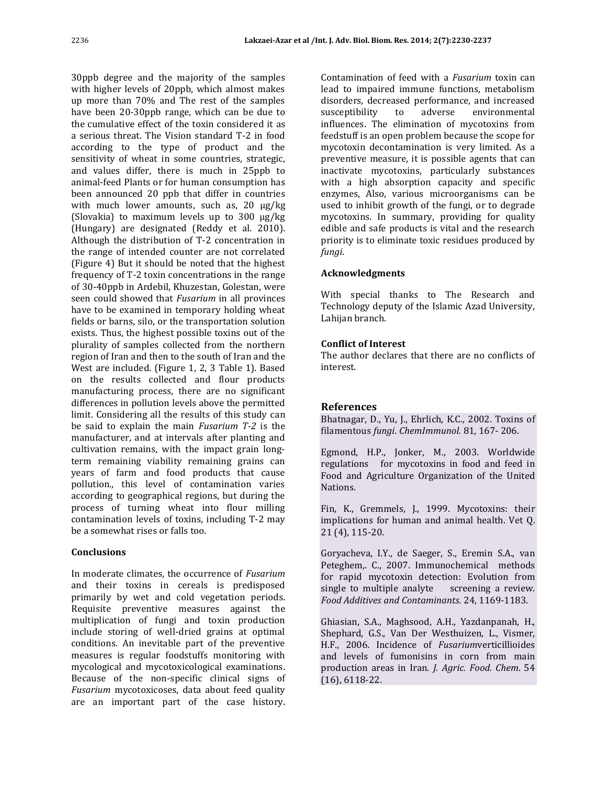30ppb degree and the majority of the samples with higher levels of 20ppb, which almost makes up more than 70% and The rest of the samples have been 20-30ppb range, which can be due to the cumulative effect of the toxin considered it as a serious threat. The Vision standard T-2 in food according to the type of product and the sensitivity of wheat in some countries, strategic, and values differ, there is much in 25ppb to animal-feed Plants or for human consumption has been announced 20 ppb that differ in countries with much lower amounts, such as, 20 µg/kg (Slovakia) to maximum levels up to 300 µg/kg (Hungary) are designated (Reddy et al. 2010). Although the distribution of T-2 concentration in the range of intended counter are not correlated (Figure 4) But it should be noted that the highest frequency of T-2 toxin concentrations in the range of 30-40ppb in Ardebil, Khuzestan, Golestan, were seen could showed that *Fusarium* in all provinces have to be examined in temporary holding wheat fields or barns, silo, or the transportation solution exists. Thus, the highest possible toxins out of the plurality of samples collected from the northern region of Iran and then to the south of Iran and the West are included. (Figure 1, 2, 3 Table 1). Based on the results collected and flour products manufacturing process, there are no significant differences in pollution levels above the permitted limit. Considering all the results of this study can be said to explain the main *Fusarium T-2* is the manufacturer, and at intervals after planting and cultivation remains, with the impact grain longterm remaining viability remaining grains can years of farm and food products that cause pollution., this level of contamination varies according to geographical regions, but during the process of turning wheat into flour milling contamination levels of toxins, including T-2 may be a somewhat rises or falls too.

## **Conclusions**

In moderate climates, the occurrence of *Fusarium*  and their toxins in cereals is predisposed primarily by wet and cold vegetation periods. Requisite preventive measures against the multiplication of fungi and toxin production include storing of well-dried grains at optimal conditions. An inevitable part of the preventive measures is regular foodstuffs monitoring with mycological and mycotoxicological examinations. Because of the non-specific clinical signs of *Fusarium* mycotoxicoses, data about feed quality are an important part of the case history.

Contamination of feed with a *Fusarium* toxin can lead to impaired immune functions, metabolism disorders, decreased performance, and increased susceptibility to adverse environmental influences. The elimination of mycotoxins from feedstuff is an open problem because the scope for mycotoxin decontamination is very limited. As a preventive measure, it is possible agents that can inactivate mycotoxins, particularly substances with a high absorption capacity and specific enzymes, Also, various microorganisms can be used to inhibit growth of the fungi, or to degrade mycotoxins. In summary, providing for quality edible and safe products is vital and the research priority is to eliminate toxic residues produced by *fungi*.

## **Acknowledgments**

With special thanks to The Research and Technology deputy of the Islamic Azad University, Lahijan branch.

## **Conflict of Interest**

The author declares that there are no conflicts of interest.

## **References**

Bhatnagar, D., Yu, J., Ehrlich, K.C., 2002. Toxins of filamentous *fungi*. *ChemImmunol.* 81, 167- 206.

Egmond, H.P., Jonker, M., 2003. Worldwide regulations for mycotoxins in food and feed in Food and Agriculture Organization of the United Nations.

Fin, K., Gremmels, J., 1999. Mycotoxins: their implications for human and animal health. Vet Q. 21 (4), 115-20.

Goryacheva, I.Y., de Saeger, S., Eremin S.A., van Peteghem,. C., 2007. Immunochemical methods for rapid mycotoxin detection: Evolution from single to multiple analyte screening a review. *Food Additives and Contaminants.* 24, 1169-1183.

Ghiasian, S.A., Maghsood, A.H., Yazdanpanah, H., Shephard, G.S., Van Der Westhuizen, L., Vismer, H.F., 2006. Incidence of *Fusarium*verticillioides and levels of fumonisins in corn from main production areas in Iran. *J. Agric. Food. Chem*. 54 (16), 6118-22.